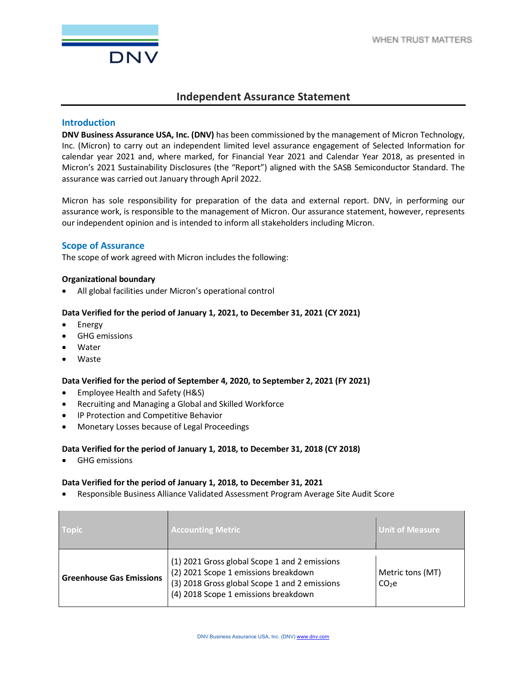

# **Independent Assurance Statement**

## **Introduction**

**DNV Business Assurance USA, Inc. (DNV)** has been commissioned by the management of Micron Technology, Inc. (Micron) to carry out an independent limited level assurance engagement of Selected Information for calendar year 2021 and, where marked, for Financial Year 2021 and Calendar Year 2018, as presented in Micron's 2021 Sustainability Disclosures (the "Report") aligned with the SASB Semiconductor Standard. The assurance was carried out January through April 2022.

Micron has sole responsibility for preparation of the data and external report. DNV, in performing our assurance work, is responsible to the management of Micron. Our assurance statement, however, represents our independent opinion and is intended to inform all stakeholders including Micron.

## **Scope of Assurance**

The scope of work agreed with Micron includes the following:

#### **Organizational boundary**

• All global facilities under Micron's operational control

#### **Data Verified for the period of January 1, 2021, to December 31, 2021 (CY 2021)**

- Energy
- GHG emissions
- Water
- Waste

## **Data Verified for the period of September 4, 2020, to September 2, 2021 (FY 2021)**

- Employee Health and Safety (H&S)
- Recruiting and Managing a Global and Skilled Workforce
- IP Protection and Competitive Behavior
- Monetary Losses because of Legal Proceedings

## **Data Verified for the period of January 1, 2018, to December 31, 2018 (CY 2018)**

• GHG emissions

#### **Data Verified for the period of January 1, 2018, to December 31, 2021**

• Responsible Business Alliance Validated Assessment Program Average Site Audit Score

| <b>Topic</b>                    | <b>Accounting Metric</b>                                                                                                                                                       | <b>Unit of Measure</b>                |
|---------------------------------|--------------------------------------------------------------------------------------------------------------------------------------------------------------------------------|---------------------------------------|
| <b>Greenhouse Gas Emissions</b> | (1) 2021 Gross global Scope 1 and 2 emissions<br>(2) 2021 Scope 1 emissions breakdown<br>(3) 2018 Gross global Scope 1 and 2 emissions<br>(4) 2018 Scope 1 emissions breakdown | Metric tons (MT)<br>CO <sub>2</sub> e |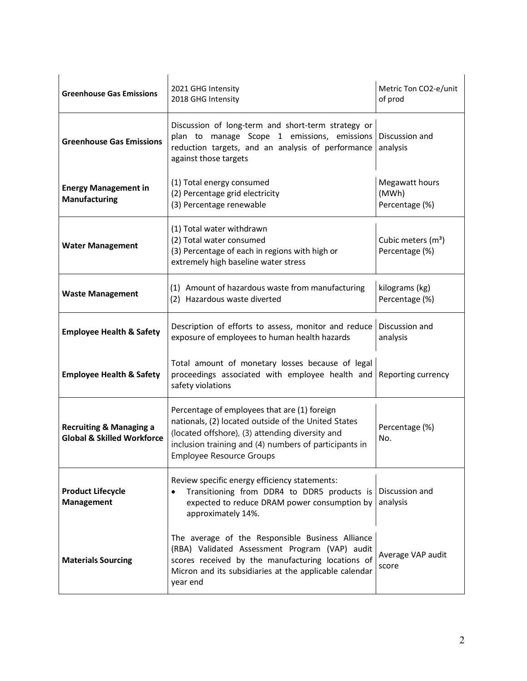| <b>Greenhouse Gas Emissions</b>                                             | 2021 GHG Intensity<br>2018 GHG Intensity                                                                                                                                                                                                    | Metric Ton CO2-e/unit<br>of prod                 |
|-----------------------------------------------------------------------------|---------------------------------------------------------------------------------------------------------------------------------------------------------------------------------------------------------------------------------------------|--------------------------------------------------|
| <b>Greenhouse Gas Emissions</b>                                             | Discussion of long-term and short-term strategy or<br>plan to manage Scope 1 emissions, emissions<br>reduction targets, and an analysis of performance<br>against those targets                                                             | Discussion and<br>analysis                       |
| <b>Energy Management in</b><br><b>Manufacturing</b>                         | (1) Total energy consumed<br>(2) Percentage grid electricity<br>(3) Percentage renewable                                                                                                                                                    | Megawatt hours<br>(MWh)<br>Percentage (%)        |
| <b>Water Management</b>                                                     | (1) Total water withdrawn<br>(2) Total water consumed<br>(3) Percentage of each in regions with high or<br>extremely high baseline water stress                                                                                             | Cubic meters (m <sup>3</sup> )<br>Percentage (%) |
| <b>Waste Management</b>                                                     | (1) Amount of hazardous waste from manufacturing<br>(2) Hazardous waste diverted                                                                                                                                                            | kilograms (kg)<br>Percentage (%)                 |
| <b>Employee Health &amp; Safety</b>                                         | Description of efforts to assess, monitor and reduce<br>exposure of employees to human health hazards                                                                                                                                       | Discussion and<br>analysis                       |
| <b>Employee Health &amp; Safety</b>                                         | Total amount of monetary losses because of legal<br>proceedings associated with employee health and<br>safety violations                                                                                                                    | Reporting currency                               |
| <b>Recruiting &amp; Managing a</b><br><b>Global &amp; Skilled Workforce</b> | Percentage of employees that are (1) foreign<br>nationals, (2) located outside of the United States<br>(located offshore), (3) attending diversity and<br>inclusion training and (4) numbers of participants in<br>Employee Resource Groups | Percentage (%)<br>No.                            |
| <b>Product Lifecycle</b><br><b>Management</b>                               | Review specific energy efficiency statements:<br>Transitioning from DDR4 to DDR5 products is<br>$\bullet$<br>expected to reduce DRAM power consumption by<br>approximately 14%.                                                             | Discussion and<br>analysis                       |
| <b>Materials Sourcing</b>                                                   | The average of the Responsible Business Alliance<br>(RBA) Validated Assessment Program (VAP) audit<br>scores received by the manufacturing locations of<br>Micron and its subsidiaries at the applicable calendar<br>year end               | Average VAP audit<br>score                       |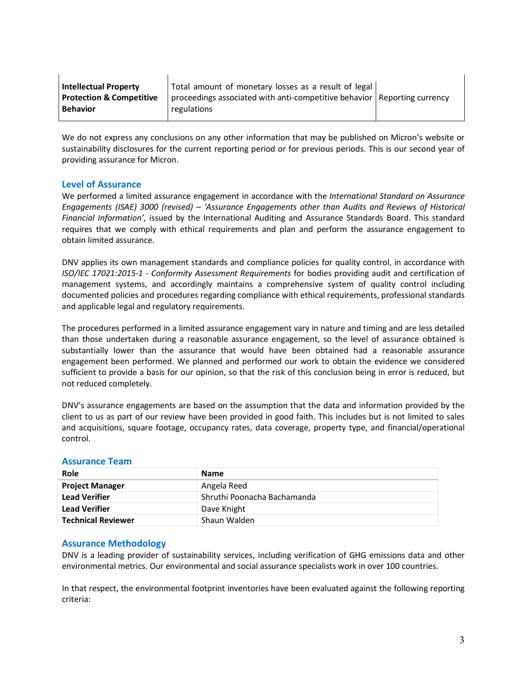| <b>Intellectual Property</b>        | Total amount of monetary losses as a result of legal                       |  |
|-------------------------------------|----------------------------------------------------------------------------|--|
| <b>Protection &amp; Competitive</b> | proceedings associated with anti-competitive behavior   Reporting currency |  |
| <b>Behavior</b>                     | regulations                                                                |  |

We do not express any conclusions on any other information that may be published on Micron's website or sustainability disclosures for the current reporting period or for previous periods. This is our second year of providing assurance for Micron.

## **Level of Assurance**

We performed a limited assurance engagement in accordance with the *International Standard on Assurance Engagements (ISAE) 3000 (revised) – 'Assurance Engagements other than Audits and Reviews of Historical Financial Information'*, issued by the International Auditing and Assurance Standards Board. This standard requires that we comply with ethical requirements and plan and perform the assurance engagement to obtain limited assurance.

DNV applies its own management standards and compliance policies for quality control, in accordance with *ISO/IEC 17021:2015-1 - Conformity Assessment Requirements* for bodies providing audit and certification of management systems, and accordingly maintains a comprehensive system of quality control including documented policies and procedures regarding compliance with ethical requirements, professional standards and applicable legal and regulatory requirements.

The procedures performed in a limited assurance engagement vary in nature and timing and are less detailed than those undertaken during a reasonable assurance engagement, so the level of assurance obtained is substantially lower than the assurance that would have been obtained had a reasonable assurance engagement been performed. We planned and performed our work to obtain the evidence we considered sufficient to provide a basis for our opinion, so that the risk of this conclusion being in error is reduced, but not reduced completely.

DNV's assurance engagements are based on the assumption that the data and information provided by the client to us as part of our review have been provided in good faith. This includes but is not limited to sales and acquisitions, square footage, occupancy rates, data coverage, property type, and financial/operational control.

| Role                      | Name                        |
|---------------------------|-----------------------------|
| <b>Project Manager</b>    | Angela Reed                 |
| <b>Lead Verifier</b>      | Shruthi Poonacha Bachamanda |
| <b>Lead Verifier</b>      | Dave Knight                 |
| <b>Technical Reviewer</b> | Shaun Walden                |

## **Assurance Team**

## **Assurance Methodology**

DNV is a leading provider of sustainability services, including verification of GHG emissions data and other environmental metrics. Our environmental and social assurance specialists work in over 100 countries.

In that respect, the environmental footprint inventories have been evaluated against the following reporting criteria: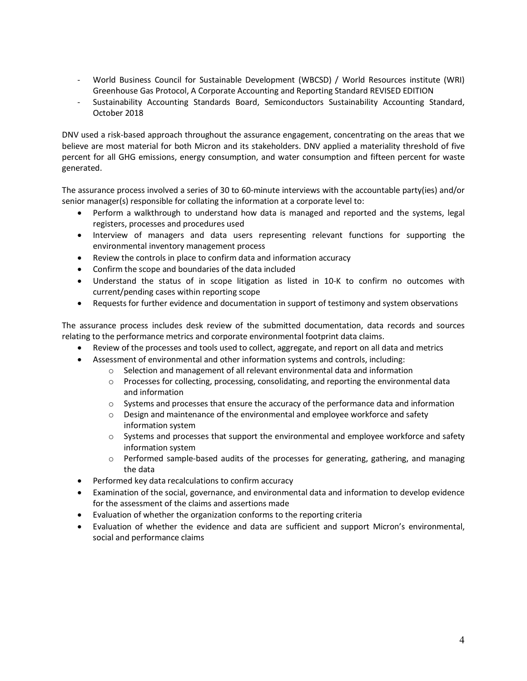- World Business Council for Sustainable Development (WBCSD) / World Resources institute (WRI) Greenhouse Gas Protocol, A Corporate Accounting and Reporting Standard REVISED EDITION
- Sustainability Accounting Standards Board, Semiconductors Sustainability Accounting Standard, October 2018

DNV used a risk-based approach throughout the assurance engagement, concentrating on the areas that we believe are most material for both Micron and its stakeholders. DNV applied a materiality threshold of five percent for all GHG emissions, energy consumption, and water consumption and fifteen percent for waste generated.

The assurance process involved a series of 30 to 60-minute interviews with the accountable party(ies) and/or senior manager(s) responsible for collating the information at a corporate level to:

- Perform a walkthrough to understand how data is managed and reported and the systems, legal registers, processes and procedures used
- Interview of managers and data users representing relevant functions for supporting the environmental inventory management process
- Review the controls in place to confirm data and information accuracy
- Confirm the scope and boundaries of the data included
- Understand the status of in scope litigation as listed in 10-K to confirm no outcomes with current/pending cases within reporting scope
- Requests for further evidence and documentation in support of testimony and system observations

The assurance process includes desk review of the submitted documentation, data records and sources relating to the performance metrics and corporate environmental footprint data claims.

- Review of the processes and tools used to collect, aggregate, and report on all data and metrics
- Assessment of environmental and other information systems and controls, including:
	- $\circ$  Selection and management of all relevant environmental data and information
	- $\circ$  Processes for collecting, processing, consolidating, and reporting the environmental data and information
	- $\circ$  Systems and processes that ensure the accuracy of the performance data and information
	- $\circ$  Design and maintenance of the environmental and employee workforce and safety information system
	- $\circ$  Systems and processes that support the environmental and employee workforce and safety information system
	- $\circ$  Performed sample-based audits of the processes for generating, gathering, and managing the data
- Performed key data recalculations to confirm accuracy
- Examination of the social, governance, and environmental data and information to develop evidence for the assessment of the claims and assertions made
- Evaluation of whether the organization conforms to the reporting criteria
- Evaluation of whether the evidence and data are sufficient and support Micron's environmental, social and performance claims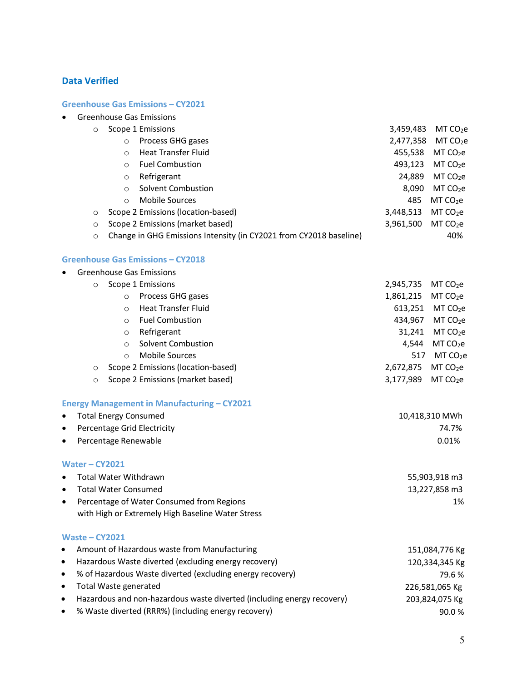# **Data Verified**

## **Greenhouse Gas Emissions – CY2021**

|                                          |                                                           | <b>Greenhouse Gas Emissions</b>                                    |                |                      |
|------------------------------------------|-----------------------------------------------------------|--------------------------------------------------------------------|----------------|----------------------|
| $\circ$                                  |                                                           | Scope 1 Emissions                                                  | 3,459,483      | MT CO <sub>2</sub> e |
|                                          | $\circ$                                                   | Process GHG gases                                                  | 2,477,358      | MT CO <sub>2</sub> e |
|                                          | $\circ$                                                   | <b>Heat Transfer Fluid</b>                                         | 455,538        | MT CO <sub>2</sub> e |
|                                          | $\circ$                                                   | <b>Fuel Combustion</b>                                             | 493,123        | MT CO <sub>2</sub> e |
|                                          | $\circ$                                                   | Refrigerant                                                        | 24,889         | MT CO <sub>2</sub> e |
|                                          | $\circ$                                                   | Solvent Combustion                                                 | 8,090          | MT CO <sub>2</sub> e |
|                                          | $\circ$                                                   | <b>Mobile Sources</b>                                              | 485            | MT CO <sub>2</sub> e |
| $\circ$                                  |                                                           | Scope 2 Emissions (location-based)                                 | 3,448,513      | MT CO <sub>2</sub> e |
| $\circ$                                  |                                                           | Scope 2 Emissions (market based)                                   | 3,961,500      | MT CO <sub>2</sub> e |
| $\circ$                                  |                                                           | Change in GHG Emissions Intensity (in CY2021 from CY2018 baseline) |                | 40%                  |
|                                          |                                                           | <b>Greenhouse Gas Emissions - CY2018</b>                           |                |                      |
|                                          |                                                           | <b>Greenhouse Gas Emissions</b>                                    |                |                      |
| $\circ$                                  |                                                           | Scope 1 Emissions                                                  | 2,945,735      | MT CO <sub>2</sub> e |
|                                          | $\circ$                                                   | Process GHG gases                                                  | 1,861,215      | MT CO <sub>2</sub> e |
|                                          | $\circ$                                                   | <b>Heat Transfer Fluid</b>                                         | 613,251        | MT CO <sub>2</sub> e |
|                                          | $\circ$                                                   | <b>Fuel Combustion</b>                                             | 434,967        | MT CO <sub>2</sub> e |
|                                          | $\circ$                                                   | Refrigerant                                                        | 31,241         | MT CO <sub>2</sub> e |
|                                          | $\circ$                                                   | <b>Solvent Combustion</b>                                          | 4,544          | MT CO <sub>2</sub> e |
|                                          | $\circ$                                                   | <b>Mobile Sources</b>                                              | 517            | MT CO <sub>2</sub> e |
| $\circ$                                  |                                                           | Scope 2 Emissions (location-based)                                 | 2,672,875      | MT CO <sub>2</sub> e |
| $\circ$                                  |                                                           | Scope 2 Emissions (market based)                                   | 3,177,989      | MT CO <sub>2</sub> e |
|                                          |                                                           | <b>Energy Management in Manufacturing - CY2021</b>                 |                |                      |
| $\bullet$                                | <b>Total Energy Consumed</b>                              |                                                                    |                | 10,418,310 MWh       |
| $\bullet$                                |                                                           | Percentage Grid Electricity                                        |                | 74.7%                |
| $\bullet$                                | Percentage Renewable                                      |                                                                    |                | 0.01%                |
| Water-CY2021                             |                                                           |                                                                    |                |                      |
| Total Water Withdrawn                    |                                                           | 55,903,918 m3                                                      |                |                      |
| <b>Total Water Consumed</b><br>$\bullet$ |                                                           |                                                                    | 13,227,858 m3  |                      |
|                                          |                                                           | Percentage of Water Consumed from Regions                          |                | 1%                   |
|                                          |                                                           | with High or Extremely High Baseline Water Stress                  |                |                      |
| Waste $-$ CY2021                         |                                                           |                                                                    |                |                      |
|                                          |                                                           | Amount of Hazardous waste from Manufacturing                       |                | 151,084,776 Kg       |
| $\bullet$                                | Hazardous Waste diverted (excluding energy recovery)      |                                                                    | 120,334,345 Kg |                      |
|                                          | % of Hazardous Waste diverted (excluding energy recovery) |                                                                    | 79.6%          |                      |
| <b>Total Waste generated</b>             |                                                           | 226,581,065 Kg                                                     |                |                      |

- Hazardous and non-hazardous waste diverted (including energy recovery) 203,824,075 Kg
- % Waste diverted (RRR%) (including energy recovery) 90.0 %